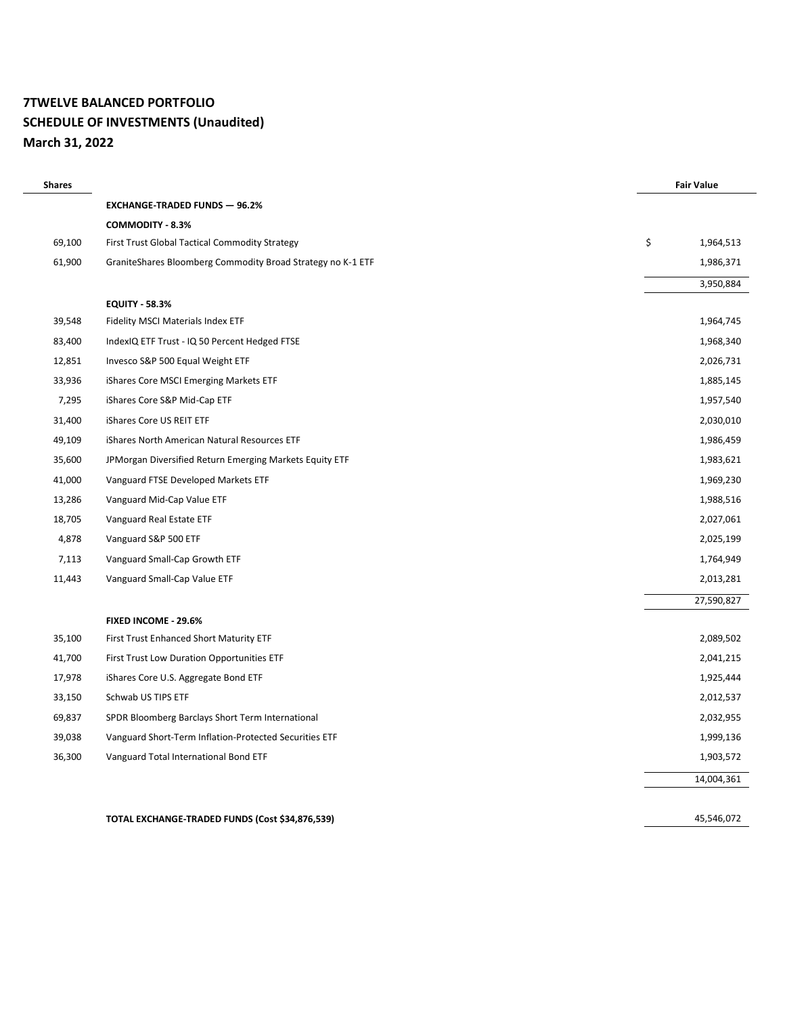# **7TWELVE BALANCED PORTFOLIO SCHEDULE OF INVESTMENTS (Unaudited) March 31, 2022**

| <b>Shares</b> |                                                             | <b>Fair Value</b> |
|---------------|-------------------------------------------------------------|-------------------|
|               | <b>EXCHANGE-TRADED FUNDS - 96.2%</b>                        |                   |
|               | <b>COMMODITY - 8.3%</b>                                     |                   |
| 69,100        | First Trust Global Tactical Commodity Strategy              | \$<br>1,964,513   |
| 61,900        | GraniteShares Bloomberg Commodity Broad Strategy no K-1 ETF | 1,986,371         |
|               |                                                             | 3,950,884         |
|               | <b>EQUITY - 58.3%</b>                                       |                   |
| 39,548        | Fidelity MSCI Materials Index ETF                           | 1,964,745         |
| 83,400        | IndexIQ ETF Trust - IQ 50 Percent Hedged FTSE               | 1,968,340         |
| 12,851        | Invesco S&P 500 Equal Weight ETF                            | 2,026,731         |
| 33,936        | iShares Core MSCI Emerging Markets ETF                      | 1,885,145         |
| 7,295         | iShares Core S&P Mid-Cap ETF                                | 1,957,540         |
| 31,400        | iShares Core US REIT ETF                                    | 2,030,010         |
| 49,109        | iShares North American Natural Resources ETF                | 1,986,459         |
| 35,600        | JPMorgan Diversified Return Emerging Markets Equity ETF     | 1,983,621         |
| 41,000        | Vanguard FTSE Developed Markets ETF                         | 1,969,230         |
| 13,286        | Vanguard Mid-Cap Value ETF                                  | 1,988,516         |
| 18,705        | Vanguard Real Estate ETF                                    | 2,027,061         |
| 4,878         | Vanguard S&P 500 ETF                                        | 2,025,199         |
| 7,113         | Vanguard Small-Cap Growth ETF                               | 1,764,949         |
| 11,443        | Vanguard Small-Cap Value ETF                                | 2,013,281         |
|               |                                                             | 27,590,827        |
|               | FIXED INCOME - 29.6%                                        |                   |
| 35,100        | First Trust Enhanced Short Maturity ETF                     | 2,089,502         |
| 41,700        | First Trust Low Duration Opportunities ETF                  | 2,041,215         |
| 17,978        | iShares Core U.S. Aggregate Bond ETF                        | 1,925,444         |
| 33,150        | Schwab US TIPS ETF                                          | 2,012,537         |
| 69,837        | SPDR Bloomberg Barclays Short Term International            | 2,032,955         |
| 39,038        | Vanguard Short-Term Inflation-Protected Securities ETF      | 1,999,136         |
| 36,300        | Vanguard Total International Bond ETF                       | 1,903,572         |
|               |                                                             | 14,004,361        |
|               |                                                             |                   |
|               | TOTAL EXCHANGE-TRADED FUNDS (Cost \$34,876,539)             | 45,546,072        |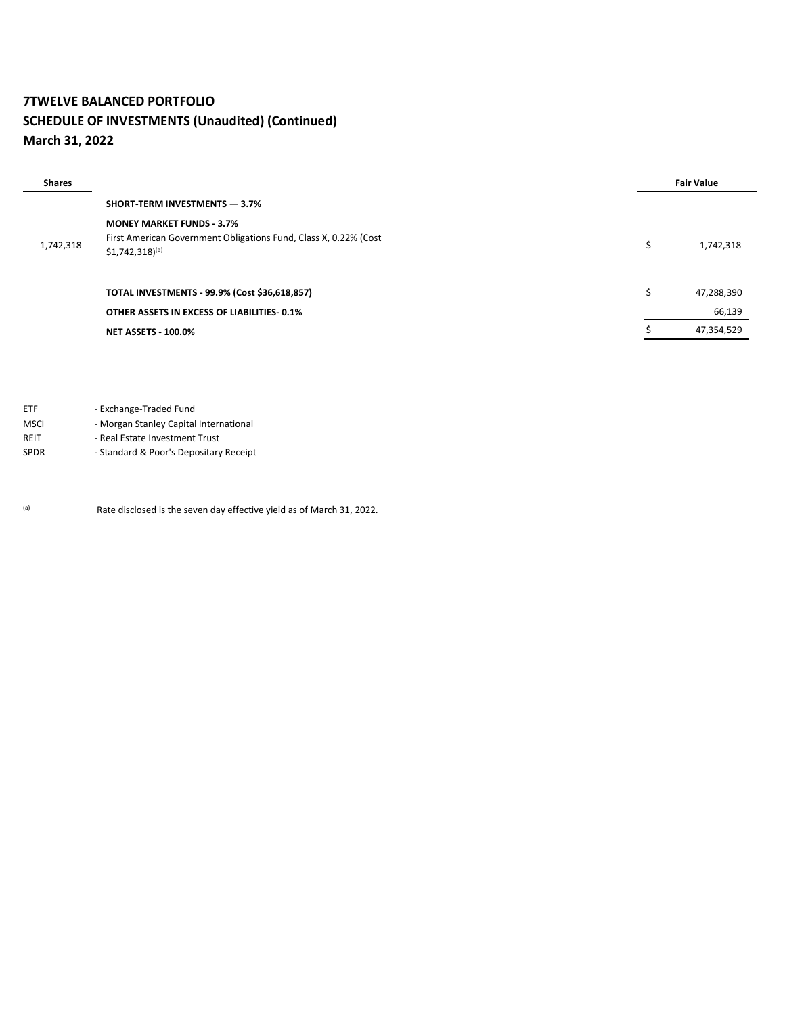# **7TWELVE BALANCED PORTFOLIO SCHEDULE OF INVESTMENTS (Unaudited) (Continued) March 31, 2022**

| <b>Shares</b> |                                                                                                 | <b>Fair Value</b> |            |
|---------------|-------------------------------------------------------------------------------------------------|-------------------|------------|
|               | <b>SHORT TERM INVESTMENTS - 3.7%</b>                                                            |                   |            |
|               | <b>MONEY MARKET FUNDS - 3.7%</b>                                                                |                   |            |
| 1,742,318     | First American Government Obligations Fund, Class X, 0.22% (Cost<br>$$1,742,318$ <sup>(a)</sup> | Ś                 | 1,742,318  |
|               | <b>TOTAL INVESTMENTS - 99.9% (Cost \$36,618,857)</b>                                            | Ś                 | 47,288,390 |
|               | OTHER ASSETS IN EXCESS OF LIABILITIES 0.1%                                                      |                   | 66,139     |
|               | <b>NET ASSETS - 100.0%</b>                                                                      |                   | 47,354,529 |

ETF - Exchange-Traded Fund

MSCI - Morgan Stanley Capital International

REIT - Real Estate Investment Trust

SPDR - Standard & Poor's Depositary Receipt

(a) Rate disclosed is the seven day effective yield as of March 31, 2022.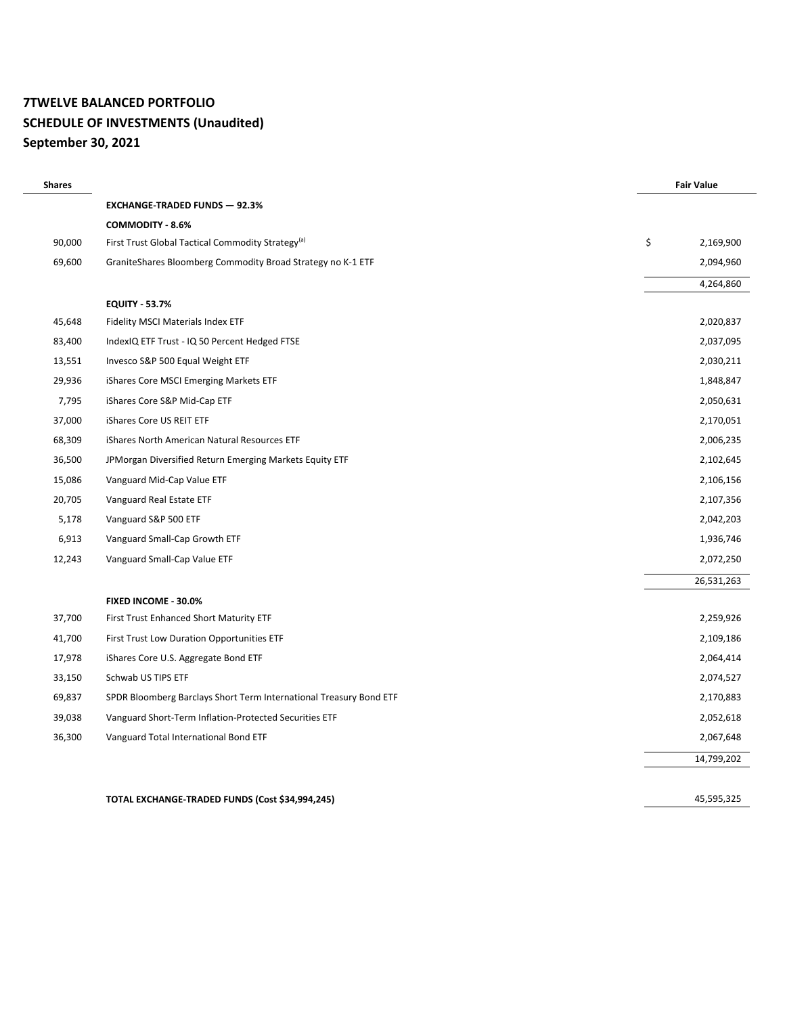# **7TWELVE BALANCED PORTFOLIO SCHEDULE OF INVESTMENTS (Unaudited) September 30, 2021**

| <b>Shares</b> |                                                                    | <b>Fair Value</b> |
|---------------|--------------------------------------------------------------------|-------------------|
|               | <b>EXCHANGE-TRADED FUNDS - 92.3%</b>                               |                   |
|               | COMMODITY - 8.6%                                                   |                   |
| 90,000        | First Trust Global Tactical Commodity Strategy <sup>(a)</sup>      | \$<br>2,169,900   |
| 69,600        | GraniteShares Bloomberg Commodity Broad Strategy no K-1 ETF        | 2,094,960         |
|               |                                                                    | 4,264,860         |
|               | <b>EQUITY - 53.7%</b>                                              |                   |
| 45,648        | Fidelity MSCI Materials Index ETF                                  | 2,020,837         |
| 83,400        | IndexIQ ETF Trust - IQ 50 Percent Hedged FTSE                      | 2,037,095         |
| 13,551        | Invesco S&P 500 Equal Weight ETF                                   | 2,030,211         |
| 29,936        | iShares Core MSCI Emerging Markets ETF                             | 1,848,847         |
| 7,795         | iShares Core S&P Mid-Cap ETF                                       | 2,050,631         |
| 37,000        | iShares Core US REIT ETF                                           | 2,170,051         |
| 68,309        | iShares North American Natural Resources ETF                       | 2,006,235         |
| 36,500        | JPMorgan Diversified Return Emerging Markets Equity ETF            | 2,102,645         |
| 15,086        | Vanguard Mid-Cap Value ETF                                         | 2,106,156         |
| 20,705        | Vanguard Real Estate ETF                                           | 2,107,356         |
| 5,178         | Vanguard S&P 500 ETF                                               | 2,042,203         |
| 6,913         | Vanguard Small-Cap Growth ETF                                      | 1,936,746         |
| 12,243        | Vanguard Small-Cap Value ETF                                       | 2,072,250         |
|               |                                                                    | 26,531,263        |
|               | FIXED INCOME - 30.0%                                               |                   |
| 37,700        | First Trust Enhanced Short Maturity ETF                            | 2,259,926         |
| 41,700        | First Trust Low Duration Opportunities ETF                         | 2,109,186         |
| 17,978        | iShares Core U.S. Aggregate Bond ETF                               | 2,064,414         |
| 33,150        | Schwab US TIPS ETF                                                 | 2,074,527         |
| 69,837        | SPDR Bloomberg Barclays Short Term International Treasury Bond ETF | 2,170,883         |
| 39,038        | Vanguard Short-Term Inflation-Protected Securities ETF             | 2,052,618         |
| 36,300        | Vanguard Total International Bond ETF                              | 2,067,648         |
|               |                                                                    | 14,799,202        |
|               |                                                                    |                   |
|               | TOTAL EXCHANGE-TRADED FUNDS (Cost \$34,994,245)                    | 45,595,325        |